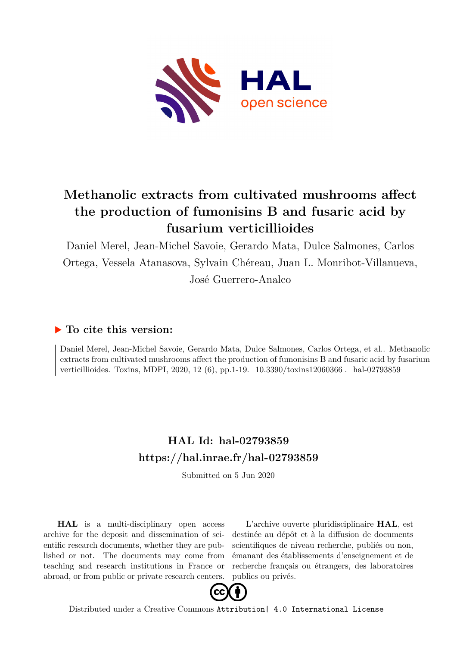

## **Methanolic extracts from cultivated mushrooms affect the production of fumonisins B and fusaric acid by fusarium verticillioides**

Daniel Merel, Jean-Michel Savoie, Gerardo Mata, Dulce Salmones, Carlos Ortega, Vessela Atanasova, Sylvain Chéreau, Juan L. Monribot-Villanueva, José Guerrero-Analco

## **To cite this version:**

Daniel Merel, Jean-Michel Savoie, Gerardo Mata, Dulce Salmones, Carlos Ortega, et al.. Methanolic extracts from cultivated mushrooms affect the production of fumonisins B and fusaric acid by fusarium verticillioides. Toxins, MDPI, 2020, 12 (6), pp.1-19.  $10.3390/tovins12060366$ . hal-02793859

## **HAL Id: hal-02793859 <https://hal.inrae.fr/hal-02793859>**

Submitted on 5 Jun 2020

**HAL** is a multi-disciplinary open access archive for the deposit and dissemination of scientific research documents, whether they are published or not. The documents may come from teaching and research institutions in France or abroad, or from public or private research centers.

L'archive ouverte pluridisciplinaire **HAL**, est destinée au dépôt et à la diffusion de documents scientifiques de niveau recherche, publiés ou non, émanant des établissements d'enseignement et de recherche français ou étrangers, des laboratoires publics ou privés.



Distributed under a Creative Commons [Attribution| 4.0 International License](http://creativecommons.org/licenses/by/4.0/)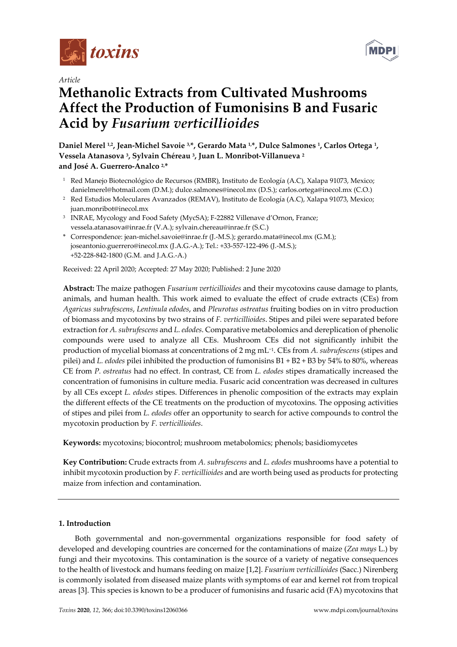

*Article*

# **Methanolic Extracts from Cultivated Mushrooms Affect the Production of Fumonisins B and Fusaric Acid by** *Fusarium verticillioides*

**Daniel Merel 1,2, Jean-Michel Savoie 3,\*, Gerardo Mata 1,\*, Dulce Salmones 1, Carlos Ortega 1, Vessela Atanasova 3, Sylvain Chéreau 3, Juan L. Monribot-Villanueva <sup>2</sup> and José A. Guerrero-Analco 2,\***

- <sup>1</sup> Red Manejo Biotecnológico de Recursos (RMBR), Instituto de Ecología (A.C), Xalapa 91073, Mexico; danielmerel@hotmail.com (D.M.); dulce.salmones@inecol.mx (D.S.); carlos.ortega@inecol.mx (C.O.)
- <sup>2</sup> Red Estudios Moleculares Avanzados (REMAV), Instituto de Ecología (A.C), Xalapa 91073, Mexico; juan.monribot@inecol.mx
- <sup>3</sup> INRAE, Mycology and Food Safety (MycSA); F-22882 Villenave d'Ornon, France; vessela.atanasova@inrae.fr (V.A.); sylvain.chereau@inrae.fr (S.C.)
- \* Correspondence: jean-michel.savoie@inrae.fr (J.-M.S.); gerardo.mata@inecol.mx (G.M.); joseantonio.guerrero@inecol.mx (J.A.G.-A.); Tel.: +33-557-122-496 (J.-M.S.); +52-228-842-1800 (G.M. and J.A.G.-A.)

Received: 22 April 2020; Accepted: 27 May 2020; Published: 2 June 2020

**Abstract:** The maize pathogen *Fusarium verticillioides* and their mycotoxins cause damage to plants, animals, and human health. This work aimed to evaluate the effect of crude extracts (CEs) from *Agaricus subrufescens*, *Lentinula edodes*, and *Pleurotus ostreatus* fruiting bodies on in vitro production of biomass and mycotoxins by two strains of *F. verticillioides*. Stipes and pilei were separated before extraction for *A. subrufescens* and *L.edodes*. Comparative metabolomics and dereplication of phenolic compounds were used to analyze all CEs. Mushroom CEs did not significantly inhibit the production of mycelial biomass at concentrations of 2 mg mL⁻1. CEs from *A. subrufescens* (stipes and pilei) and *L. edodes* pilei inhibited the production of fumonisins B1 + B2 + B3 by 54% to 80%, whereas CE from *P. ostreatus* had no effect. In contrast, CE from *L. edodes* stipes dramatically increased the concentration of fumonisins in culture media. Fusaric acid concentration was decreased in cultures by all CEs except *L. edodes* stipes. Differences in phenolic composition of the extracts may explain the different effects of the CE treatments on the production of mycotoxins. The opposing activities of stipes and pilei from *L. edodes* offer an opportunity to search for active compounds to control the mycotoxin production by *F. verticillioides*.

**Keywords:** mycotoxins; biocontrol; mushroom metabolomics; phenols; basidiomycetes

**Key Contribution:** Crude extracts from *A. subrufescens* and *L. edodes* mushrooms have a potential to inhibit mycotoxin production by *F. verticillioides* and are worth being used as products for protecting maize from infection and contamination.

## **1. Introduction**

Both governmental and non-governmental organizations responsible for food safety of developed and developing countries are concerned for the contaminations of maize (*Zea mays* L.) by fungi and their mycotoxins. This contamination is the source of a variety of negative consequences to the health of livestock and humans feeding on maize [1,2]. *Fusarium verticillioides* (Sacc.) Nirenberg is commonly isolated from diseased maize plants with symptoms of ear and kernel rot from tropical areas [3]. This species is known to be a producer of fumonisins and fusaric acid (FA) mycotoxins that

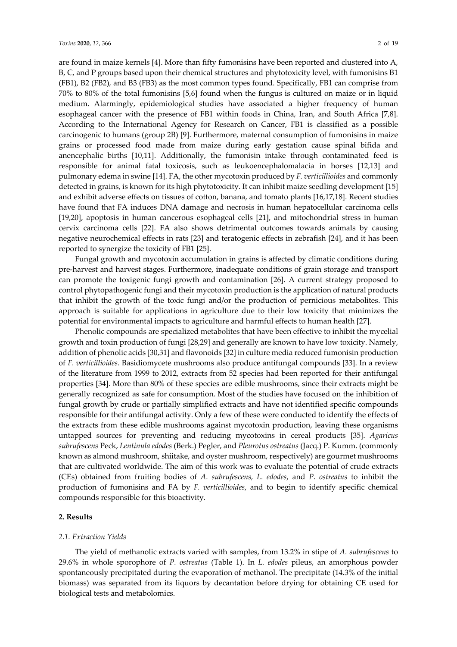are found in maize kernels [4]. More than fifty fumonisins have been reported and clustered into A, B, C, and P groups based upon their chemical structures and phytotoxicity level, with fumonisins B1 (FB1), B2 (FB2), and B3 (FB3) as the most common types found. Specifically, FB1 can comprise from 70% to 80% of the total fumonisins [5,6] found when the fungus is cultured on maize or in liquid medium. Alarmingly, epidemiological studies have associated a higher frequency of human esophageal cancer with the presence of FB1 within foods in China, Iran, and South Africa [7,8]. According to the International Agency for Research on Cancer, FB1 is classified as a possible carcinogenic to humans (group 2B) [9]. Furthermore, maternal consumption of fumonisins in maize grains or processed food made from maize during early gestation cause spinal bifida and anencephalic births [10,11]. Additionally, the fumonisin intake through contaminated feed is responsible for animal fatal toxicosis, such as leukoencephalomalacia in horses [12,13] and pulmonary edema in swine [14]. FA, the other mycotoxin produced by *F. verticillioides* and commonly detected in grains, is known for its high phytotoxicity. It can inhibit maize seedling development [15] and exhibit adverse effects on tissues of cotton, banana, and tomato plants [16,17,18]. Recent studies have found that FA induces DNA damage and necrosis in human hepatocellular carcinoma cells [19,20], apoptosis in human cancerous esophageal cells [21], and mitochondrial stress in human cervix carcinoma cells [22]. FA also shows detrimental outcomes towards animals by causing negative neurochemical effects in rats [23] and teratogenic effects in zebrafish [24], and it has been reported to synergize the toxicity of FB1 [25].

Fungal growth and mycotoxin accumulation in grains is affected by climatic conditions during pre-harvest and harvest stages. Furthermore, inadequate conditions of grain storage and transport can promote the toxigenic fungi growth and contamination [26]. A current strategy proposed to control phytopathogenic fungi and their mycotoxin production is the application of natural products that inhibit the growth of the toxic fungi and/or the production of pernicious metabolites. This approach is suitable for applications in agriculture due to their low toxicity that minimizes the potential for environmental impacts to agriculture and harmful effects to human health [27].

Phenolic compounds are specialized metabolites that have been effective to inhibit the mycelial growth and toxin production of fungi [28,29] and generally are known to have low toxicity. Namely, addition of phenolic acids [30,31] and flavonoids [32] in culture media reduced fumonisin production of *F. verticillioides*. Basidiomycete mushrooms also produce antifungal compounds [33]. In a review of the literature from 1999 to 2012, extracts from 52 species had been reported for their antifungal properties [34]. More than 80% of these species are edible mushrooms, since their extracts might be generally recognized as safe for consumption. Most of the studies have focused on the inhibition of fungal growth by crude or partially simplified extracts and have not identified specific compounds responsible for their antifungal activity. Only a few of these were conducted to identify the effects of the extracts from these edible mushrooms against mycotoxin production, leaving these organisms untapped sources for preventing and reducing mycotoxins in cereal products [35]. *Agaricus subrufescens* Peck, *Lentinula edodes* (Berk.) Pegler, and *Pleurotus ostreatus* (Jacq.) P. Kumm. (commonly known as almond mushroom, shiitake, and oyster mushroom, respectively) are gourmet mushrooms that are cultivated worldwide. The aim of this work was to evaluate the potential of crude extracts (CEs) obtained from fruiting bodies of *A. subrufescens, L. edodes*, and *P. ostreatus* to inhibit the production of fumonisins and FA by *F. verticillioides*, and to begin to identify specific chemical compounds responsible for this bioactivity.

## **2. Results**

#### *2.1. Extraction Yields*

The yield of methanolic extracts varied with samples, from 13.2% in stipe of *A. subrufescens* to 29.6% in whole sporophore of *P. ostreatus* (Table 1). In *L. edodes* pileus, an amorphous powder spontaneously precipitated during the evaporation of methanol. The precipitate (14.3% of the initial biomass) was separated from its liquors by decantation before drying for obtaining CE used for biological tests and metabolomics.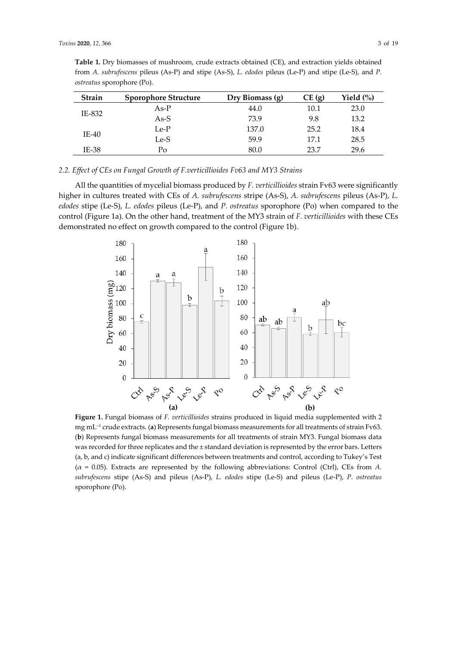| <b>Strain</b> | <b>Sporophore Structure</b> | Dry Biomass (g) | CE(g) | Yield $\left(\%\right)$ |
|---------------|-----------------------------|-----------------|-------|-------------------------|
| IE-832        | $As-P$                      | 44.0            | 10.1  | 23.0                    |
|               | As-S                        | 73.9            | 9.8   | 13.2                    |
| $IE-40$       | $Le-P$                      | 137.0           | 25.2  | 18.4                    |
|               | Le-S                        | 59.9            | 17.1  | 28.5                    |
| IE-38         | Po                          | 80.0            | 23.7  | 29.6                    |

**Table 1.** Dry biomasses of mushroom, crude extracts obtained (CE), and extraction yields obtained from *A. subrufescens* pileus (As-P) and stipe (As-S), *L. edodes* pileus (Le-P) and stipe (Le-S), and *P. ostreatus* sporophore (Po).

## *2.2. Effect of CEs on Fungal Growth of F.verticillioides Fv63 and MY3 Strains*

All the quantities of mycelial biomass produced by *F. verticillioides* strain Fv63 were significantly higher in cultures treated with CEs of *A. subrufescens* stripe (As-S), *A. subrufescens* pileus (As-P), *L. edodes* stipe (Le-S), *L. edodes* pileus (Le-P), and *P. ostreatus* sporophore (Po) when compared to the control (Figure 1a). On the other hand, treatment of the MY3 strain of *F. verticillioides* with these CEs demonstrated no effect on growth compared to the control (Figure 1b).



**Figure 1.** Fungal biomass of *F. verticillioides* strains produced in liquid media supplemented with 2 mg mL<sup>-1</sup> crude extracts. (a) Represents fungal biomass measurements for all treatments of strain Fv63. (**b**) Represents fungal biomass measurements for all treatments of strain MY3. Fungal biomass data was recorded for three replicates and the ± standard deviation is represented by the error bars. Letters (a, b, and c) indicate significant differences between treatments and control, according to Tukey's Test (α = 0.05). Extracts are represented by the following abbreviations: Control (Ctrl), CEs from *A. subrufescens* stipe (As-S) and pileus (As-P), *L. edodes* stipe (Le-S) and pileus (Le-P), *P. ostreatus* sporophore (Po).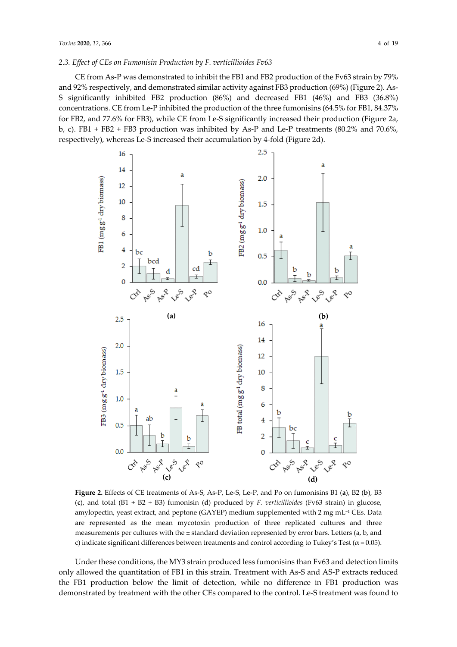## *2.3. Effect of CEs on Fumonisin Production by F. verticillioides Fv63*

CE from As-P was demonstrated to inhibit the FB1 and FB2 production of the Fv63 strain by 79% and 92% respectively, and demonstrated similar activity against FB3 production (69%) (Figure 2). As-S significantly inhibited FB2 production (86%) and decreased FB1 (46%) and FB3 (36.8%) concentrations. CE from Le-P inhibited the production of the three fumonisins (64.5% for FB1, 84.37% for FB2, and 77.6% for FB3), while CE from Le-S significantly increased their production (Figure 2a, b, c). FB1 + FB2 + FB3 production was inhibited by As-P and Le-P treatments (80.2% and 70.6%, respectively), whereas Le-S increased their accumulation by 4-fold (Figure 2d).



**Figure 2.** Effects of CE treatments of As-S, As-P, Le-S, Le-P, and Po on fumonisins B1 (**a**), B2 (**b**), B3 (**c**), and total (B1 + B2 + B3) fumonisin (**d**) produced by *F. verticillioides* (Fv63 strain) in glucose, amylopectin, yeast extract, and peptone (GAYEP) medium supplemented with  $2 \text{ mg } \text{m} \text{L}^{-1}$  CEs. Data are represented as the mean mycotoxin production of three replicated cultures and three measurements per cultures with the ± standard deviation represented by error bars. Letters (a, b, and c) indicate significant differences between treatments and control according to Tukey's Test ( $\alpha$  = 0.05).

Under these conditions, the MY3 strain produced less fumonisins than Fv63 and detection limits only allowed the quantitation of FB1 in this strain. Treatment with As-S and AS-P extracts reduced the FB1 production below the limit of detection, while no difference in FB1 production was demonstrated by treatment with the other CEs compared to the control. Le-S treatment was found to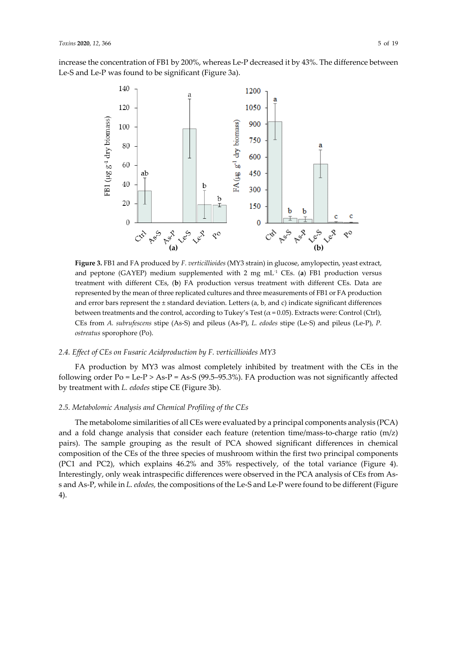increase the concentration of FB1 by 200%, whereas Le-P decreased it by 43%. The difference between Le-S and Le-P was found to be significant (Figure 3a).



**Figure 3.** FB1 and FA produced by *F. verticillioides* (MY3 strain) in glucose, amylopectin, yeast extract, and peptone (GAYEP) medium supplemented with 2 mg mL<sup>1</sup> CEs. (a) FB1 production versus treatment with different CEs, (**b**) FA production versus treatment with different CEs. Data are represented by the mean of three replicated cultures and three measurements of FB1 or FA production and error bars represent the  $\pm$  standard deviation. Letters (a, b, and c) indicate significant differences between treatments and the control, according to Tukey's Test ( $\alpha$  = 0.05). Extracts were: Control (Ctrl), CEs from *A. subrufescens* stipe (As-S) and pileus (As-P), *L. edodes* stipe (Le-S) and pileus (Le-P), *P. ostreatus* sporophore (Po).

## *2.4. Effect of CEs on Fusaric Acidproduction by F. verticillioides MY3*

FA production by MY3 was almost completely inhibited by treatment with the CEs in the following order Po = Le-P > As-P = As-S (99.5–95.3%). FA production was not significantly affected by treatment with *L. edodes* stipe CE (Figure 3b).

## *2.5. Metabolomic Analysis and Chemical Profiling of the CEs*

The metabolome similarities of all CEs were evaluated by a principal components analysis (PCA) and a fold change analysis that consider each feature (retention time/mass-to-charge ratio  $(m/z)$ pairs). The sample grouping as the result of PCA showed significant differences in chemical composition of the CEs of the three species of mushroom within the first two principal components (PC1 and PC2), which explains 46.2% and 35% respectively, of the total variance (Figure 4). Interestingly, only weak intraspecific differences were observed in the PCA analysis of CEs from Ass and As-P, while in *L. edodes,* the compositions of the Le-S and Le-P were found to be different (Figure 4).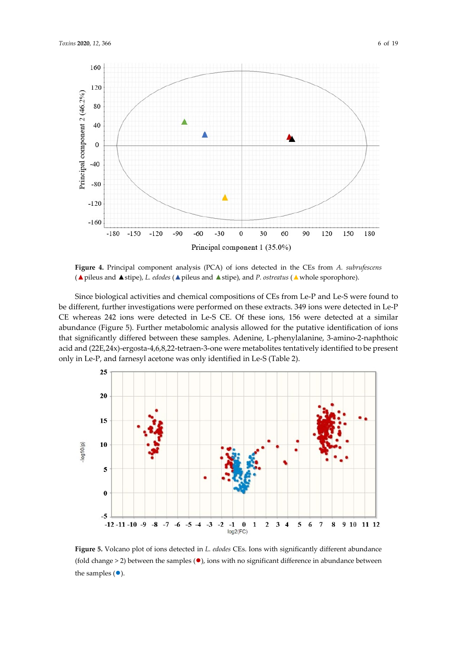

**Figure 4.** Principal component analysis (PCA) of ions detected in the CEs from *A. subrufescens* (▲pileus and ▲stipe), *L. edodes* (▲pileus and ▲stipe), and *P. ostreatus* (▲whole sporophore).

Since biological activities and chemical compositions of CEs from Le-P and Le-S were found to be different, further investigations were performed on these extracts. 349 ions were detected in Le-P CE whereas 242 ions were detected in Le-S CE. Of these ions, 156 were detected at a similar abundance (Figure 5). Further metabolomic analysis allowed for the putative identification of ions that significantly differed between these samples. Adenine, L-phenylalanine, 3-amino-2-naphthoic acid and (22E,24x)-ergosta-4,6,8,22-tetraen-3-one were metabolites tentatively identified to be present only in Le-P, and farnesyl acetone was only identified in Le-S (Table 2).



**Figure 5.** Volcano plot of ions detected in *L. edodes* CEs. Ions with significantly different abundance (fold change > 2) between the samples  $(•)$ , ions with no significant difference in abundance between the samples  $(•)$ .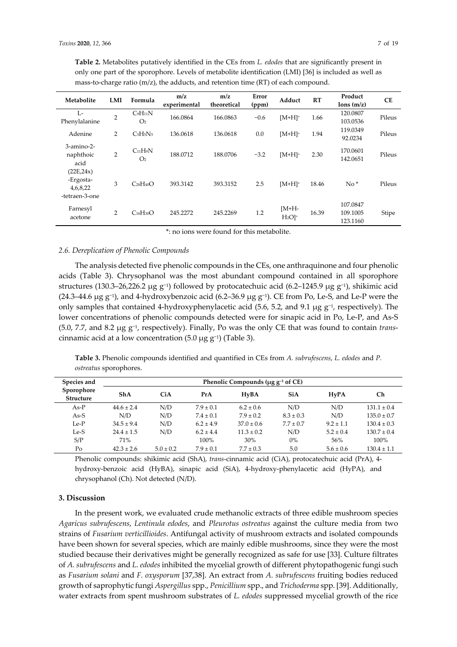| Metabolite                                            | LMI            | Formula                           | m/z<br>experimental | m/z<br>theoretical | Error<br>(ppm) | Adduct                        | RT    | Product<br>Ions(m/z)             | <b>CE</b> |
|-------------------------------------------------------|----------------|-----------------------------------|---------------------|--------------------|----------------|-------------------------------|-------|----------------------------------|-----------|
| L-<br>Phenylalanine                                   | $\overline{2}$ | $C_9H_{11}N$<br>O <sub>2</sub>    | 166.0864            | 166.0863           | $-0.6$         | $[M+H]^+$                     | 1.66  | 120.0807<br>103.0536             | Pileus    |
| Adenine                                               | 2              | $C5H5N5$                          | 136.0618            | 136.0618           | 0.0            | $[M+H]^+$                     | 1.94  | 119.0349<br>92.0234              | Pileus    |
| $3$ -amino- $2$ -<br>naphthoic<br>acid                | $\overline{2}$ | $C_{11}H_9N$<br>$\Omega$          | 188.0712            | 188.0706           | $-3.2$         | $[M+H]^+$                     | 2.30  | 170.0601<br>142.0651             | Pileus    |
| (22E, 24x)<br>-Ergosta-<br>4,6,8,22<br>-tetraen-3-one | 3              | $C_{28}H_{40}O$                   | 393.3142            | 393.3152           | 2.5            | $[M+H]^+$                     | 18.46 | $No*$                            | Pileus    |
| Farnesyl<br>acetone                                   | 2              | C <sub>18</sub> H <sub>30</sub> O | 245.2272            | 245.2269           | 1.2            | $IM+H-$<br>$H2O$ <sup>+</sup> | 16.39 | 107.0847<br>109.1005<br>123.1160 | Stipe     |

**Table 2.** Metabolites putatively identified in the CEs from *L. edodes* that are significantly present in only one part of the sporophore. Levels of metabolite identification (LMI) [36] is included as well as mass-to-charge ratio (m/z), the adducts, and retention time (RT) of each compound.

\*: no ions were found for this metabolite.

## *2.6. Dereplication of Phenolic Compounds*

The analysis detected five phenolic compounds in the CEs, one anthraquinone and four phenolic acids (Table 3). Chrysophanol was the most abundant compound contained in all sporophore structures (130.3–26,226.2 µg g<sup>-1</sup>) followed by protocatechuic acid (6.2–1245.9 µg g<sup>-1</sup>), shikimic acid (24.3–44.6  $\mu$ g g<sup>-1</sup>), and 4-hydroxybenzoic acid (6.2–36.9  $\mu$ g g<sup>-1</sup>). CE from Po, Le-S, and Le-P were the only samples that contained 4-hydroxyphenylacetic acid (5.6, 5.2, and 9.1  $\mu$ g g<sup>-1</sup>, respectively). The lower concentrations of phenolic compounds detected were for sinapic acid in Po, Le-P, and As-S  $(5.0, 7.7, \text{ and } 8.2 \mu g g^{-1}$ , respectively). Finally, Po was the only CE that was found to contain *trans*cinnamic acid at a low concentration  $(5.0 \mu g g^{-1})$  (Table 3).

**Table 3.** Phenolic compounds identified and quantified in CEs from *A. subrufescens*, *L. edodes* and *P. ostreatus* sporophores.

| Species and                    | Phenolic Compounds ( $\mu$ g g <sup>-1</sup> of CE) |               |               |                |               |               |                 |
|--------------------------------|-----------------------------------------------------|---------------|---------------|----------------|---------------|---------------|-----------------|
| Sporophore<br><b>Structure</b> | <b>ShA</b>                                          | <b>CiA</b>    | PrA           | <b>HvBA</b>    | <b>SiA</b>    | <b>HvPA</b>   | Ch              |
| $As-P$                         | $44.6 \pm 2.4$                                      | N/D           | $7.9 \pm 0.1$ | $6.2 \pm 0.6$  | N/D           | N/D           | $131.1 \pm 0.4$ |
| $As-S$                         | N/D                                                 | N/D           | $7.4 \pm 0.1$ | $7.9 \pm 0.2$  | $8.3 \pm 0.3$ | N/D           | $135.0 \pm 0.7$ |
| $Le-P$                         | $34.5 \pm 9.4$                                      | N/D           | $6.2 \pm 4.9$ | $37.0 \pm 0.6$ | $7.7 \pm 0.7$ | $9.2 \pm 1.1$ | $130.4 \pm 0.3$ |
| Le-S                           | $24.4 \pm 1.5$                                      | N/D           | $6.2 \pm 4.4$ | $11.3 \pm 0.2$ | N/D           | $5.2 \pm 0.4$ | $130.7 \pm 0.4$ |
| S/P                            | 71%                                                 |               | 100%          | 30%            | $0\%$         | 56%           | $100\%$         |
| Po                             | $42.3 \pm 2.6$                                      | $5.0 \pm 0.2$ | $7.9 \pm 0.1$ | $7.7 \pm 0.3$  | 5.0           | $5.6 \pm 0.6$ | $130.4 \pm 1.1$ |

Phenolic compounds: shikimic acid (ShA), *trans*-cinnamic acid (CiA), protocatechuic acid (PrA), 4 hydroxy-benzoic acid (HyBA), sinapic acid (SiA), 4-hydroxy-phenylacetic acid (HyPA), and chrysophanol (Ch). Not detected (N/D).

### **3. Discussion**

In the present work, we evaluated crude methanolic extracts of three edible mushroom species *Agaricus subrufescens*, *Lentinula edodes*, and *Pleurotus ostreatus* against the culture media from two strains of *Fusarium verticillioides*. Antifungal activity of mushroom extracts and isolated compounds have been shown for several species, which are mainly edible mushrooms, since they were the most studied because their derivatives might be generally recognized as safe for use [33]. Culture filtrates of *A. subrufescens* and *L. edodes* inhibited the mycelial growth of different phytopathogenic fungi such as *Fusarium solani* and *F. oxysporum* [37,38]. An extract from *A. subrufescens* fruiting bodies reduced growth of saprophytic fungi *Aspergillus* spp., *Penicillium* spp., and *Trichoderma* spp. [39]. Additionally, water extracts from spent mushroom substrates of *L. edodes* suppressed mycelial growth of the rice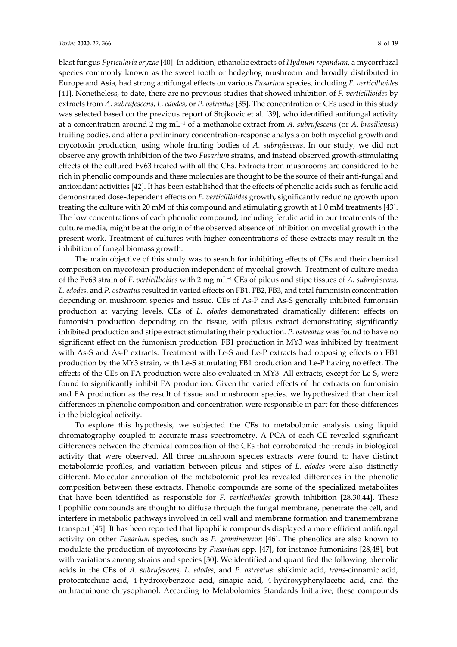blast fungus *Pyricularia oryzae* [40]. In addition, ethanolic extracts of *Hydnum repandum*, a mycorrhizal species commonly known as the sweet tooth or hedgehog mushroom and broadly distributed in Europe and Asia, had strong antifungal effects on various *Fusarium* species, including *F. verticillioides*  [41]. Nonetheless, to date, there are no previous studies that showed inhibition of *F. verticillioides* by extracts from *A. subrufescens*, *L. edodes*, or *P. ostreatus* [35]. The concentration of CEs used in this study was selected based on the previous report of Stojkovic et al. [39], who identified antifungal activity at a concentration around 2 mg mL⁻<sup>1</sup> of a methanolic extract from *A. subrufescens* (or *A. brasiliensis*) fruiting bodies, and after a preliminary concentration-response analysis on both mycelial growth and mycotoxin production, using whole fruiting bodies of *A. subrufescens*. In our study, we did not observe any growth inhibition of the two *Fusarium* strains, and instead observed growth-stimulating effects of the cultured Fv63 treated with all the CEs. Extracts from mushrooms are considered to be rich in phenolic compounds and these molecules are thought to be the source of their anti-fungal and antioxidant activities [42]. It has been established that the effects of phenolic acids such as ferulic acid demonstrated dose-dependent effects on *F. verticillioides* growth, significantly reducing growth upon treating the culture with 20 mM of this compound and stimulating growth at 1.0 mM treatments [43]. The low concentrations of each phenolic compound, including ferulic acid in our treatments of the culture media, might be at the origin of the observed absence of inhibition on mycelial growth in the present work. Treatment of cultures with higher concentrations of these extracts may result in the inhibition of fungal biomass growth.

The main objective of this study was to search for inhibiting effects of CEs and their chemical composition on mycotoxin production independent of mycelial growth. Treatment of culture media of the Fv63 strain of *F. verticillioides* with 2 mg mL⁻<sup>1</sup> CEs of pileus and stipe tissues of *A. subrufescens*, *L. edodes*, and *P. ostreatus*resulted in varied effects on FB1, FB2, FB3, and total fumonisin concentration depending on mushroom species and tissue. CEs of As-P and As-S generally inhibited fumonisin production at varying levels. CEs of *L. edodes* demonstrated dramatically different effects on fumonisin production depending on the tissue, with pileus extract demonstrating significantly inhibited production and stipe extract stimulating their production. *P. ostreatus* was found to have no significant effect on the fumonisin production. FB1 production in MY3 was inhibited by treatment with As-S and As-P extracts. Treatment with Le-S and Le-P extracts had opposing effects on FB1 production by the MY3 strain, with Le-S stimulating FB1 production and Le-P having no effect. The effects of the CEs on FA production were also evaluated in MY3. All extracts, except for Le-S, were found to significantly inhibit FA production. Given the varied effects of the extracts on fumonisin and FA production as the result of tissue and mushroom species, we hypothesized that chemical differences in phenolic composition and concentration were responsible in part for these differences in the biological activity.

To explore this hypothesis, we subjected the CEs to metabolomic analysis using liquid chromatography coupled to accurate mass spectrometry. A PCA of each CE revealed significant differences between the chemical composition of the CEs that corroborated the trends in biological activity that were observed. All three mushroom species extracts were found to have distinct metabolomic profiles, and variation between pileus and stipes of *L. edodes* were also distinctly different. Molecular annotation of the metabolomic profiles revealed differences in the phenolic composition between these extracts. Phenolic compounds are some of the specialized metabolites that have been identified as responsible for *F. verticillioides* growth inhibition [28,30,44]. These lipophilic compounds are thought to diffuse through the fungal membrane, penetrate the cell, and interfere in metabolic pathways involved in cell wall and membrane formation and transmembrane transport [45]. It has been reported that lipophilic compounds displayed a more efficient antifungal activity on other *Fusarium* species, such as *F. graminearum* [46]. The phenolics are also known to modulate the production of mycotoxins by *Fusarium* spp. [47], for instance fumonisins [28,48], but with variations among strains and species [30]. We identified and quantified the following phenolic acids in the CEs of *A. subrufescens*, *L. edodes*, and *P. ostreatus*: shikimic acid, *trans*-cinnamic acid, protocatechuic acid, 4-hydroxybenzoic acid, sinapic acid, 4-hydroxyphenylacetic acid, and the anthraquinone chrysophanol. According to Metabolomics Standards Initiative, these compounds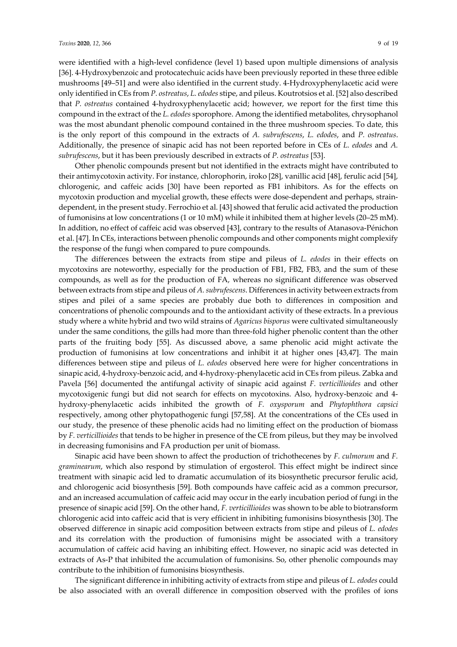were identified with a high-level confidence (level 1) based upon multiple dimensions of analysis [36]. 4-Hydroxybenzoic and protocatechuic acids have been previously reported in these three edible mushrooms [49–51] and were also identified in the current study. 4-Hydroxyphenylacetic acid were only identified in CEs from *P. ostreatus*, *L. edodes* stipe, and pileus. Koutrotsios et al. [52] also described that *P. ostreatus* contained 4-hydroxyphenylacetic acid; however, we report for the first time this compound in the extract of the *L. edodes* sporophore. Among the identified metabolites, chrysophanol was the most abundant phenolic compound contained in the three mushroom species. To date, this is the only report of this compound in the extracts of *A. subrufescens*, *L. edodes*, and *P. ostreatus*. Additionally, the presence of sinapic acid has not been reported before in CEs of *L. edodes* and *A. subrufescens*, but it has been previously described in extracts of *P. ostreatus* [53].

Other phenolic compounds present but not identified in the extracts might have contributed to their antimycotoxin activity. For instance, chlorophorin, iroko [28], vanillic acid [48], ferulic acid [54], chlorogenic, and caffeic acids [30] have been reported as FB1 inhibitors. As for the effects on mycotoxin production and mycelial growth, these effects were dose-dependent and perhaps, straindependent, in the present study. Ferrochio et al. [43] showed that ferulic acid activated the production of fumonisins at low concentrations (1 or 10 mM) while it inhibited them at higher levels (20–25 mM). In addition, no effect of caffeic acid was observed [43], contrary to the results of Atanasova-Pénichon et al. [47]. In CEs, interactions between phenolic compounds and other components might complexify the response of the fungi when compared to pure compounds.

The differences between the extracts from stipe and pileus of *L. edodes* in their effects on mycotoxins are noteworthy, especially for the production of FB1, FB2, FB3, and the sum of these compounds, as well as for the production of FA, whereas no significant difference was observed between extracts from stipe and pileus of *A. subrufescens*. Differences in activity between extracts from stipes and pilei of a same species are probably due both to differences in composition and concentrations of phenolic compounds and to the antioxidant activity of these extracts. In a previous study where a white hybrid and two wild strains of *Agaricus bisporus* were cultivated simultaneously under the same conditions, the gills had more than three-fold higher phenolic content than the other parts of the fruiting body [55]. As discussed above, a same phenolic acid might activate the production of fumonisins at low concentrations and inhibit it at higher ones [43,47]. The main differences between stipe and pileus of *L. edodes* observed here were for higher concentrations in sinapic acid, 4-hydroxy-benzoic acid, and 4-hydroxy-phenylacetic acid in CEs from pileus. Zabka and Pavela [56] documented the antifungal activity of sinapic acid against *F. verticillioides* and other mycotoxigenic fungi but did not search for effects on mycotoxins. Also, hydroxy-benzoic and 4 hydroxy-phenylacetic acids inhibited the growth of *F. oxysporum* and *Phytophthora capsici* respectively, among other phytopathogenic fungi [57,58]. At the concentrations of the CEs used in our study, the presence of these phenolic acids had no limiting effect on the production of biomass by *F. verticillioides* that tends to be higher in presence of the CE from pileus, but they may be involved in decreasing fumonisins and FA production per unit of biomass.

Sinapic acid have been shown to affect the production of trichothecenes by *F. culmorum* and *F. graminearum*, which also respond by stimulation of ergosterol. This effect might be indirect since treatment with sinapic acid led to dramatic accumulation of its biosynthetic precursor ferulic acid, and chlorogenic acid biosynthesis [59]. Both compounds have caffeic acid as a common precursor, and an increased accumulation of caffeic acid may occur in the early incubation period of fungi in the presence of sinapic acid [59]. On the other hand, *F. verticillioides* was shown to be able to biotransform chlorogenic acid into caffeic acid that is very efficient in inhibiting fumonisins biosynthesis [30]. The observed difference in sinapic acid composition between extracts from stipe and pileus of *L. edodes* and its correlation with the production of fumonisins might be associated with a transitory accumulation of caffeic acid having an inhibiting effect. However, no sinapic acid was detected in extracts of As-P that inhibited the accumulation of fumonisins. So, other phenolic compounds may contribute to the inhibition of fumonisins biosynthesis.

The significant difference in inhibiting activity of extracts from stipe and pileus of *L. edodes* could be also associated with an overall difference in composition observed with the profiles of ions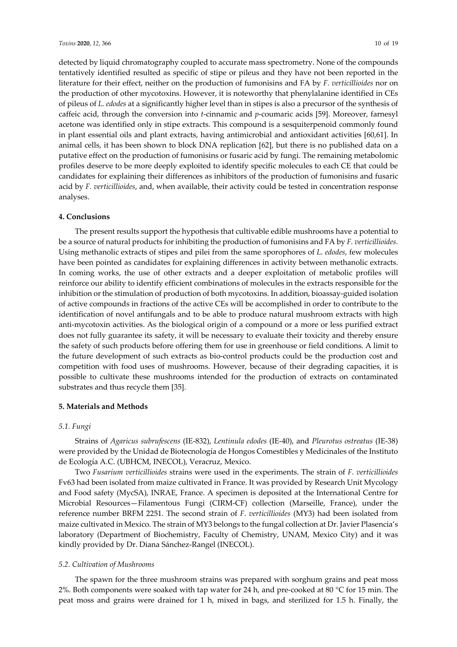detected by liquid chromatography coupled to accurate mass spectrometry. None of the compounds tentatively identified resulted as specific of stipe or pileus and they have not been reported in the literature for their effect, neither on the production of fumonisins and FA by *F. verticillioides* nor on the production of other mycotoxins. However, it is noteworthy that phenylalanine identified in CEs of pileus of *L. edodes* at a significantly higher level than in stipes is also a precursor of the synthesis of caffeic acid, through the conversion into *t*-cinnamic and *p*-coumaric acids [59]. Moreover, farnesyl acetone was identified only in stipe extracts. This compound is a sesquiterpenoid commonly found in plant essential oils and plant extracts, having antimicrobial and antioxidant activities [60,61]. In animal cells, it has been shown to block DNA replication [62], but there is no published data on a putative effect on the production of fumonisins or fusaric acid by fungi. The remaining metabolomic profiles deserve to be more deeply exploited to identify specific molecules to each CE that could be candidates for explaining their differences as inhibitors of the production of fumonisins and fusaric acid by *F. verticillioides*, and, when available, their activity could be tested in concentration response analyses.

## **4. Conclusions**

The present results support the hypothesis that cultivable edible mushrooms have a potential to be a source of natural products for inhibiting the production of fumonisins and FA by *F. verticillioides.* Using methanolic extracts of stipes and pilei from the same sporophores of *L. edodes*, few molecules have been pointed as candidates for explaining differences in activity between methanolic extracts. In coming works, the use of other extracts and a deeper exploitation of metabolic profiles will reinforce our ability to identify efficient combinations of molecules in the extracts responsible for the inhibition or the stimulation of production of both mycotoxins. In addition, bioassay-guided isolation of active compounds in fractions of the active CEs will be accomplished in order to contribute to the identification of novel antifungals and to be able to produce natural mushroom extracts with high anti-mycotoxin activities. As the biological origin of a compound or a more or less purified extract does not fully guarantee its safety, it will be necessary to evaluate their toxicity and thereby ensure the safety of such products before offering them for use in greenhouse or field conditions. A limit to the future development of such extracts as bio-control products could be the production cost and competition with food uses of mushrooms. However, because of their degrading capacities, it is possible to cultivate these mushrooms intended for the production of extracts on contaminated substrates and thus recycle them [35].

## **5. Materials and Methods**

#### *5.1. Fungi*

Strains of *Agaricus subrufescens* (IE-832), *Lentinula edodes* (IE-40), and *Pleurotus ostreatus* (IE-38) were provided by the Unidad de Biotecnología de Hongos Comestibles y Medicinales of the Instituto de Ecología A.C. (UBHCM, INECOL), Veracruz, Mexico.

Two *Fusarium verticillioides* strains were used in the experiments. The strain of *F. verticillioides* Fv63 had been isolated from maize cultivated in France. It was provided by Research Unit Mycology and Food safety (MycSA), INRAE, France. A specimen is deposited at the International Centre for Microbial Resources—Filamentous Fungi (CIRM-CF) collection (Marseille, France), under the reference number BRFM 2251. The second strain of *F. verticillioides* (MY3) had been isolated from maize cultivated in Mexico. The strain of MY3 belongs to the fungal collection at Dr. Javier Plasencia's laboratory (Department of Biochemistry, Faculty of Chemistry, UNAM, Mexico City) and it was kindly provided by Dr. Diana Sánchez-Rangel (INECOL).

#### *5.2. Cultivation of Mushrooms*

The spawn for the three mushroom strains was prepared with sorghum grains and peat moss 2%. Both components were soaked with tap water for 24 h, and pre-cooked at 80 °C for 15 min. The peat moss and grains were drained for 1 h, mixed in bags, and sterilized for 1.5 h. Finally, the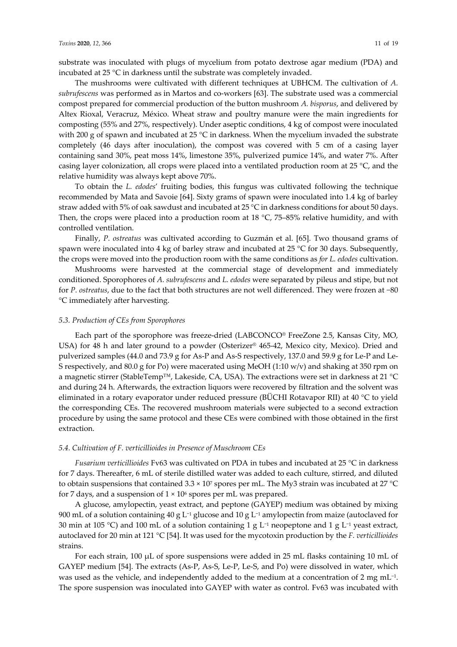substrate was inoculated with plugs of mycelium from potato dextrose agar medium (PDA) and incubated at 25 °C in darkness until the substrate was completely invaded.

The mushrooms were cultivated with different techniques at UBHCM. The cultivation of *A. subrufescens* was performed as in Martos and co-workers [63]. The substrate used was a commercial compost prepared for commercial production of the button mushroom *A. bisporus*, and delivered by Altex Rioxal, Veracruz, México. Wheat straw and poultry manure were the main ingredients for composting (55% and 27%, respectively). Under aseptic conditions, 4 kg of compost were inoculated with 200 g of spawn and incubated at 25 °C in darkness. When the mycelium invaded the substrate completely (46 days after inoculation), the compost was covered with 5 cm of a casing layer containing sand 30%, peat moss 14%, limestone 35%, pulverized pumice 14%, and water 7%. After casing layer colonization, all crops were placed into a ventilated production room at 25 °C, and the relative humidity was always kept above 70%.

To obtain the *L. edodes*' fruiting bodies, this fungus was cultivated following the technique recommended by Mata and Savoie [64]. Sixty grams of spawn were inoculated into 1.4 kg of barley straw added with 5% of oak sawdust and incubated at 25 °C in darkness conditions for about 50 days. Then, the crops were placed into a production room at 18  $^{\circ}$ C, 75–85% relative humidity, and with controlled ventilation.

Finally, *P. ostreatus* was cultivated according to Guzmán et al. [65]. Two thousand grams of spawn were inoculated into 4 kg of barley straw and incubated at 25 °C for 30 days. Subsequently, the crops were moved into the production room with the same conditions as *for L. edodes* cultivation.

Mushrooms were harvested at the commercial stage of development and immediately conditioned. Sporophores of *A. subrufescens* and *L. edodes* were separated by pileus and stipe, but not for *P. ostreatus*, due to the fact that both structures are not well differenced. They were frozen at −80 °C immediately after harvesting.

### *5.3. Production of CEs from Sporophores*

Each part of the sporophore was freeze-dried (LABCONCO® FreeZone 2.5, Kansas City, MO, USA) for 48 h and later ground to a powder (Osterizer® 465-42, Mexico city, Mexico). Dried and pulverized samples (44.0 and 73.9 g for As-P and As-S respectively, 137.0 and 59.9 g for Le-P and Le-S respectively, and 80.0 g for Po) were macerated using MeOH (1:10 w/v) and shaking at 350 rpm on a magnetic stirrer (StableTemp™, Lakeside, CA, USA). The extractions were set in darkness at 21 °C and during 24 h. Afterwards, the extraction liquors were recovered by filtration and the solvent was eliminated in a rotary evaporator under reduced pressure (BÜCHI Rotavapor RII) at 40 °C to yield the corresponding CEs. The recovered mushroom materials were subjected to a second extraction procedure by using the same protocol and these CEs were combined with those obtained in the first extraction.

### *5.4. Cultivation of F. verticillioides in Presence of Muschroom CEs*

*Fusarium verticillioides* Fv63 was cultivated on PDA in tubes and incubated at 25 °C in darkness for 7 days. Thereafter, 6 mL of sterile distilled water was added to each culture, stirred, and diluted to obtain suspensions that contained 3.3 × 107 spores per mL. The My3 strain was incubated at 27 °C for 7 days, and a suspension of  $1 \times 10^6$  spores per mL was prepared.

A glucose, amylopectin, yeast extract, and peptone (GAYEP) medium was obtained by mixing 900 mL of a solution containing 40 g L<sup>-1</sup> glucose and 10 g L<sup>-1</sup> amylopectin from maize (autoclaved for 30 min at 105 °C) and 100 mL of a solution containing 1 g  $L^{-1}$  neopeptone and 1 g  $L^{-1}$  yeast extract, autoclaved for 20 min at 121 °C [54]. It was used for the mycotoxin production by the *F. verticillioides* strains.

For each strain, 100 µL of spore suspensions were added in 25 mL flasks containing 10 mL of GAYEP medium [54]. The extracts (As-P, As-S, Le-P, Le-S, and Po) were dissolved in water, which was used as the vehicle, and independently added to the medium at a concentration of 2 mg  $mL^{-1}$ . The spore suspension was inoculated into GAYEP with water as control. Fv63 was incubated with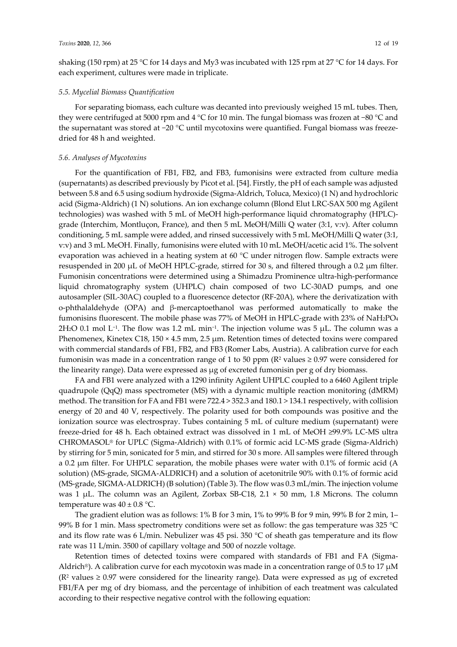shaking (150 rpm) at 25 °C for 14 days and My3 was incubated with 125 rpm at 27 °C for 14 days. For each experiment, cultures were made in triplicate.

## *5.5. Mycelial Biomass Quantification*

For separating biomass, each culture was decanted into previously weighed 15 mL tubes. Then, they were centrifuged at 5000 rpm and 4 °C for 10 min. The fungal biomass was frozen at −80 °C and the supernatant was stored at −20 °C until mycotoxins were quantified. Fungal biomass was freezedried for 48 h and weighted.

## *5.6. Analyses of Mycotoxins*

For the quantification of FB1, FB2, and FB3, fumonisins were extracted from culture media (supernatants) as described previously by Picot et al. [54]. Firstly, the pH of each sample was adjusted between 5.8 and 6.5 using sodium hydroxide (Sigma-Aldrich, Toluca, Mexico) (1 N) and hydrochloric acid (Sigma-Aldrich) (1 N) solutions. An ion exchange column (Blond Elut LRC-SAX 500 mg Agilent technologies) was washed with 5 mL of MeOH high-performance liquid chromatography (HPLC) grade (Interchim, Montluçon, France), and then 5 mL MeOH/Milli Q water (3:1, v:v). After column conditioning, 5 mL sample were added, and rinsed successively with 5 mL MeOH/Milli Q water (3:1, v:v) and 3 mL MeOH. Finally, fumonisins were eluted with 10 mL MeOH/acetic acid 1%. The solvent evaporation was achieved in a heating system at 60 °C under nitrogen flow. Sample extracts were resuspended in 200 µL of MeOH HPLC-grade, stirred for 30 s, and filtered through a 0.2 µm filter. Fumonisin concentrations were determined using a Shimadzu Prominence ultra-high-performance liquid chromatography system (UHPLC) chain composed of two LC-30AD pumps, and one autosampler (SIL-30AC) coupled to a fluorescence detector (RF-20A), where the derivatization with o-phthalaldehyde (OPA) and β-mercaptoethanol was performed automatically to make the fumonisins fluorescent. The mobile phase was 77% of MeOH in HPLC-grade with 23% of NaH2PO4 2H<sub>2</sub>O 0.1 mol L<sup>-1</sup>. The flow was 1.2 mL min<sup>-1</sup>. The injection volume was 5  $\mu$ L. The column was a Phenomenex, Kinetex C18, 150 × 4.5 mm, 2.5 µm. Retention times of detected toxins were compared with commercial standards of FB1, FB2, and FB3 (Romer Labs, Austria). A calibration curve for each fumonisin was made in a concentration range of 1 to 50 ppm ( $\mathbb{R}^2$  values  $\geq 0.97$  were considered for the linearity range). Data were expressed as µg of excreted fumonisin per g of dry biomass.

FA and FB1 were analyzed with a 1290 infinity Agilent UHPLC coupled to a 6460 Agilent triple quadrupole (QqQ) mass spectrometer (MS) with a dynamic multiple reaction monitoring (dMRM) method. The transition for FA and FB1 were 722.4 > 352.3 and 180.1 > 134.1 respectively, with collision energy of 20 and 40 V, respectively. The polarity used for both compounds was positive and the ionization source was electrospray. Tubes containing 5 mL of culture medium (supernatant) were freeze-dried for 48 h. Each obtained extract was dissolved in 1 mL of MeOH ≥99.9% LC-MS ultra CHROMASOL® for UPLC (Sigma-Aldrich) with 0.1% of formic acid LC-MS grade (Sigma-Aldrich) by stirring for 5 min, sonicated for 5 min, and stirred for 30 s more. All samples were filtered through a 0.2 µm filter. For UHPLC separation, the mobile phases were water with 0.1% of formic acid (A solution) (MS-grade, SIGMA-ALDRICH) and a solution of acetonitrile 90% with 0.1% of formic acid (MS-grade, SIGMA-ALDRICH) (B solution) (Table 3). The flow was 0.3 mL/min. The injection volume was 1  $\mu$ L. The column was an Agilent, Zorbax SB-C18, 2.1  $\times$  50 mm, 1.8 Microns. The column temperature was  $40 \pm 0.8$  °C.

The gradient elution was as follows: 1% B for 3 min, 1% to 99% B for 9 min, 99% B for 2 min, 1– 99% B for 1 min. Mass spectrometry conditions were set as follow: the gas temperature was 325 °C and its flow rate was 6 L/min. Nebulizer was 45 psi. 350 °C of sheath gas temperature and its flow rate was 11 L/min. 3500 of capillary voltage and 500 of nozzle voltage.

Retention times of detected toxins were compared with standards of FB1 and FA (Sigma-Aldrich®). A calibration curve for each mycotoxin was made in a concentration range of 0.5 to 17  $\mu$ M ( $\mathbb{R}^2$  values  $\geq 0.97$  were considered for the linearity range). Data were expressed as µg of excreted FB1/FA per mg of dry biomass, and the percentage of inhibition of each treatment was calculated according to their respective negative control with the following equation: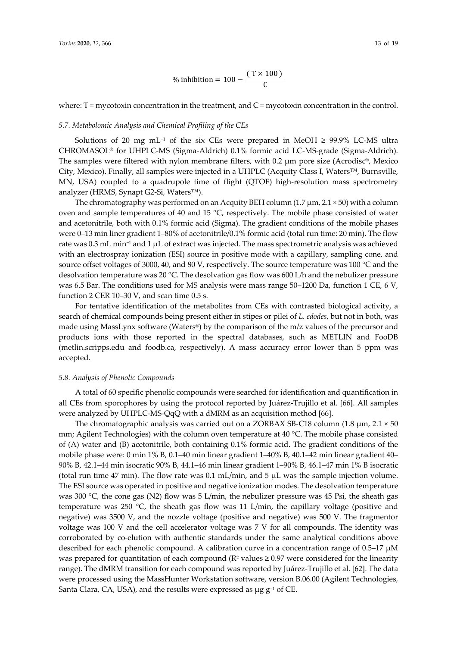% inhibition = 
$$
100 - \frac{(T \times 100)}{C}
$$

where:  $T = \text{mycotoxin concentration in the treatment, and } C = \text{mycotoxin concentration in the control.}$ 

#### *5.7. Metabolomic Analysis and Chemical Profiling of the CEs*

Solutions of 20 mg mL<sup>-1</sup> of the six CEs were prepared in MeOH  $\geq$  99.9% LC-MS ultra CHROMASOL® for UHPLC-MS (Sigma-Aldrich) 0.1% formic acid LC-MS-grade (Sigma-Aldrich). The samples were filtered with nylon membrane filters, with  $0.2 \mu m$  pore size (Acrodisc®, Mexico City, Mexico). Finally, all samples were injected in a UHPLC (Acquity Class I, Waters™, Burnsville, MN, USA) coupled to a quadrupole time of flight (QTOF) high-resolution mass spectrometry analyzer (HRMS, Synapt G2-Si, Waters™).

The chromatography was performed on an Acquity BEH column (1.7  $\mu$ m, 2.1 × 50) with a column oven and sample temperatures of 40 and 15 °C, respectively. The mobile phase consisted of water and acetonitrile, both with 0.1% formic acid (Sigma). The gradient conditions of the mobile phases were 0–13 min liner gradient 1–80% of acetonitrile/0.1% formic acid (total run time: 20 min). The flow rate was  $0.3$  mL min<sup>-1</sup> and 1  $\mu$ L of extract was injected. The mass spectrometric analysis was achieved with an electrospray ionization (ESI) source in positive mode with a capillary, sampling cone, and source offset voltages of 3000, 40, and 80 V, respectively. The source temperature was 100 °C and the desolvation temperature was 20 °C. The desolvation gas flow was 600 L/h and the nebulizer pressure was 6.5 Bar. The conditions used for MS analysis were mass range 50–1200 Da, function 1 CE, 6 V, function 2 CER 10–30 V, and scan time 0.5 s.

For tentative identification of the metabolites from CEs with contrasted biological activity, a search of chemical compounds being present either in stipes or pilei of *L. edodes*, but not in both, was made using MassLynx software (Waters®) by the comparison of the m/z values of the precursor and products ions with those reported in the spectral databases, such as METLIN and FooDB (metlin.scripps.edu and foodb.ca, respectively). A mass accuracy error lower than 5 ppm was accepted.

### *5.8. Analysis of Phenolic Compounds*

A total of 60 specific phenolic compounds were searched for identification and quantification in all CEs from sporophores by using the protocol reported by Juárez-Trujillo et al. [66]. All samples were analyzed by UHPLC-MS-QqQ with a dMRM as an acquisition method [66].

The chromatographic analysis was carried out on a ZORBAX SB-C18 column (1.8  $\mu$ m, 2.1  $\times$  50 mm; Agilent Technologies) with the column oven temperature at 40 °C. The mobile phase consisted of (A) water and (B) acetonitrile, both containing 0.1% formic acid. The gradient conditions of the mobile phase were: 0 min 1% B, 0.1–40 min linear gradient 1–40% B, 40.1–42 min linear gradient 40– 90% B, 42.1–44 min isocratic 90% B, 44.1–46 min linear gradient 1–90% B, 46.1–47 min 1% B isocratic (total run time 47 min). The flow rate was  $0.1$  mL/min, and  $5 \mu$ L was the sample injection volume. The ESI source was operated in positive and negative ionization modes. The desolvation temperature was 300 °C, the cone gas (N2) flow was 5 L/min, the nebulizer pressure was 45 Psi, the sheath gas temperature was 250 °C, the sheath gas flow was 11 L/min, the capillary voltage (positive and negative) was 3500 V, and the nozzle voltage (positive and negative) was 500 V. The fragmentor voltage was 100 V and the cell accelerator voltage was 7 V for all compounds. The identity was corroborated by co-elution with authentic standards under the same analytical conditions above described for each phenolic compound. A calibration curve in a concentration range of 0.5–17  $\mu$ M was prepared for quantitation of each compound ( $R^2$  values  $\geq$  0.97 were considered for the linearity range). The dMRM transition for each compound was reported by Juárez-Trujillo et al. [62]. The data were processed using the MassHunter Workstation software, version B.06.00 (Agilent Technologies, Santa Clara, CA, USA), and the results were expressed as  $\mu$ g g<sup>-1</sup> of CE.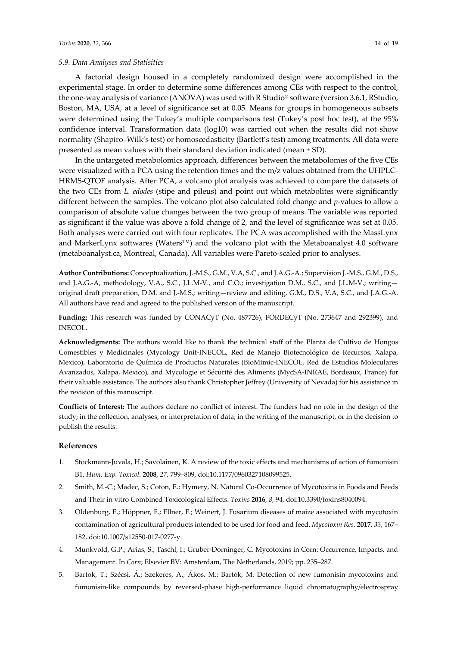A factorial design housed in a completely randomized design were accomplished in the experimental stage. In order to determine some differences among CEs with respect to the control, the one-way analysis of variance (ANOVA) was used with R Studio® software (version 3.6.1, RStudio, Boston, MA, USA, at a level of significance set at 0.05. Means for groups in homogeneous subsets were determined using the Tukey's multiple comparisons test (Tukey's post hoc test), at the 95% confidence interval. Transformation data (log10) was carried out when the results did not show normality (Shapiro–Wilk's test) or homoscedasticity (Bartlett's test) among treatments. All data were presented as mean values with their standard deviation indicated (mean ± SD).

In the untargeted metabolomics approach, differences between the metabolomes of the five CEs were visualized with a PCA using the retention times and the m/z values obtained from the UHPLC-HRMS-QTOF analysis. After PCA, a volcano plot analysis was achieved to compare the datasets of the two CEs from *L. edodes* (stipe and pileus) and point out which metabolites were significantly different between the samples. The volcano plot also calculated fold change and *p*-values to allow a comparison of absolute value changes between the two group of means. The variable was reported as significant if the value was above a fold change of 2, and the level of significance was set at 0.05. Both analyses were carried out with four replicates. The PCA was accomplished with the MassLynx and MarkerLynx softwares (Waters™) and the volcano plot with the Metaboanalyst 4.0 software (metaboanalyst.ca, Montreal, Canada). All variables were Pareto-scaled prior to analyses.

**Author Contributions:** Conceptualization, J.-M.S., G.M., V.A, S.C., and J.A.G.-A.; Supervision J.-M.S., G.M., D.S., and J.A.G.-A, methodology, V.A., S.C., J.L.M-V., and C.O.; investigation D.M., S.C., and J.L.M-V.; writingoriginal draft preparation, D.M. and J.-M.S.; writing—review and editing, G.M., D.S., V.A, S.C., and J.A.G.-A. All authors have read and agreed to the published version of the manuscript.

**Funding:** This research was funded by CONACyT (No. 487726), FORDECyT (No. 273647 and 292399), and INECOL.

**Acknowledgments:** The authors would like to thank the technical staff of the Planta de Cultivo de Hongos Comestibles y Medicinales (Mycology Unit-INECOL, Red de Manejo Biotecnológico de Recursos, Xalapa, Mexico), Laboratorio de Química de Productos Naturales (BioMimic-INECOL, Red de Estudios Moleculares Avanzados, Xalapa, Mexico), and Mycologie et Sécurité des Aliments (MycSA-INRAE, Bordeaux, France) for their valuable assistance. The authors also thank Christopher Jeffrey (University of Nevada) for his assistance in the revision of this manuscript.

**Conflicts of Interest:** The authors declare no conflict of interest. The funders had no role in the design of the study; in the collection, analyses, or interpretation of data; in the writing of the manuscript, or in the decision to publish the results.

## **References**

- 1. Stockmann-Juvala, H.; Savolainen, K. A review of the toxic effects and mechanisms of action of fumonisin B1. *Hum. Exp. Toxicol.* **2008**, *27*, 799–809, doi:10.1177/0960327108099525.
- 2. Smith, M.-C.; Madec, S.; Coton, E.; Hymery, N. Natural Co-Occurrence of Mycotoxins in Foods and Feeds and Their in vitro Combined Toxicological Effects. *Toxins* **2016**, *8*, 94, doi:10.3390/toxins8040094.
- 3. Oldenburg, E.; Höppner, F.; Ellner, F.; Weinert, J. Fusarium diseases of maize associated with mycotoxin contamination of agricultural products intended to be used for food and feed. *Mycotoxin Res.* **2017**, *33*, 167– 182, doi:10.1007/s12550-017-0277-y.
- 4. Munkvold, G.P.; Arias, S.; Taschl, I.; Gruber-Dorninger, C. Mycotoxins in Corn: Occurrence, Impacts, and Management. In *Corn*; Elsevier BV: Amsterdam, The Netherlands, 2019; pp. 235–287.
- 5. Bartok, T.; Szécsi, Á.; Szekeres, A.; Ákos, M.; Bartók, M. Detection of new fumonisin mycotoxins and fumonisin-like compounds by reversed-phase high-performance liquid chromatography/electrospray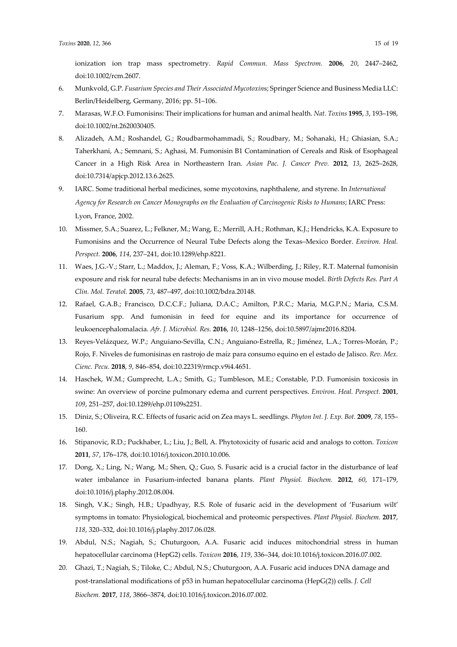ionization ion trap mass spectrometry. *Rapid Commun. Mass Spectrom.* **2006**, *20*, 2447–2462, doi:10.1002/rcm.2607.

- 6. Munkvold, G.P. *Fusarium Species and Their Associated Mycotoxin*s; Springer Science and Business Media LLC: Berlin/Heidelberg, Germany, 2016; pp. 51–106.
- 7. Marasas, W.F.O. Fumonisins: Their implications for human and animal health. *Nat. Toxins* **1995**, *3*, 193–198, doi:10.1002/nt.2620030405.
- 8. Alizadeh, A.M.; Roshandel, G.; Roudbarmohammadi, S.; Roudbary, M.; Sohanaki, H.; Ghiasian, S.A.; Taherkhani, A.; Semnani, S.; Aghasi, M. Fumonisin B1 Contamination of Cereals and Risk of Esophageal Cancer in a High Risk Area in Northeastern Iran. *Asian Pac. J. Cancer Prev.* **2012**, *13*, 2625–2628, doi:10.7314/apjcp.2012.13.6.2625.
- 9. IARC. Some traditional herbal medicines, some mycotoxins, naphthalene, and styrene. In *International Agency for Research on Cancer Monographs on the Evaluation of Carcinogenic Risks to Humans*; IARC Press: Lyon, France, 2002.
- 10. Missmer, S.A.; Suarez, L.; Felkner, M.; Wang, E.; Merrill, A.H.; Rothman, K.J.; Hendricks, K.A. Exposure to Fumonisins and the Occurrence of Neural Tube Defects along the Texas–Mexico Border. *Environ. Heal. Perspect.* **2006**, *114*, 237–241, doi:10.1289/ehp.8221.
- 11. Waes, J.G.-V.; Starr, L.; Maddox, J.; Aleman, F.; Voss, K.A.; Wilberding, J.; Riley, R.T. Maternal fumonisin exposure and risk for neural tube defects: Mechanisms in an in vivo mouse model. *Birth Defects Res. Part A Clin. Mol. Teratol.* **2005**, *73*, 487–497, doi:10.1002/bdra.20148.
- 12. Rafael, G.A.B.; Francisco, D.C.C.F.; Juliana, D.A.C.; Amilton, P.R.C.; Maria, M.G.P.N.; Maria, C.S.M. Fusarium spp. And fumonisin in feed for equine and its importance for occurrence of leukoencephalomalacia. *Afr. J. Microbiol. Res.* **2016**, *10*, 1248–1256, doi:10.5897/ajmr2016.8204.
- 13. Reyes-Velázquez, W.P.; Anguiano-Sevilla, C.N.; Anguiano-Estrella, R.; Jiménez, L.A.; Torres-Morán, P.; Rojo, F. Niveles de fumonisinas en rastrojo de maíz para consumo equino en el estado de Jalisco. *Rev. Mex. Cienc. Pecu.* **2018**, *9*, 846–854, doi:10.22319/rmcp.v9i4.4651.
- 14. Haschek, W.M.; Gumprecht, L.A.; Smith, G.; Tumbleson, M.E.; Constable, P.D. Fumonisin toxicosis in swine: An overview of porcine pulmonary edema and current perspectives. *Environ. Heal. Perspect.* **2001**, *109*, 251–257, doi:10.1289/ehp.01109s2251.
- 15. Diniz, S.; Oliveira, R.C. Effects of fusaric acid on Zea mays L. seedlings. *Phyton Int. J. Exp. Bot.* **2009**, *78*, 155– 160.
- 16. Stipanovic, R.D.; Puckhaber, L.; Liu, J.; Bell, A. Phytotoxicity of fusaric acid and analogs to cotton. *Toxicon* **2011**, *57*, 176–178, doi:10.1016/j.toxicon.2010.10.006.
- 17. Dong, X.; Ling, N.; Wang, M.; Shen, Q.; Guo, S. Fusaric acid is a crucial factor in the disturbance of leaf water imbalance in Fusarium-infected banana plants. *Plant Physiol. Biochem.* **2012**, *60*, 171–179, doi:10.1016/j.plaphy.2012.08.004.
- 18. Singh, V.K.; Singh, H.B.; Upadhyay, R.S. Role of fusaric acid in the development of 'Fusarium wilt' symptoms in tomato: Physiological, biochemical and proteomic perspectives. *Plant Physiol. Biochem.* **2017**, *118*, 320–332, doi:10.1016/j.plaphy.2017.06.028.
- 19. Abdul, N.S.; Nagiah, S.; Chuturgoon, A.A. Fusaric acid induces mitochondrial stress in human hepatocellular carcinoma (HepG2) cells. *Toxicon* **2016**, *119*, 336–344, doi:10.1016/j.toxicon.2016.07.002.
- 20. Ghazi, T.; Nagiah, S.; Tiloke, C.; Abdul, N.S.; Chuturgoon, A.A. Fusaric acid induces DNA damage and post-translational modifications of p53 in human hepatocellular carcinoma (HepG(2)) cells. *J. Cell Biochem.* **2017**, *118*, 3866–3874, doi:10.1016/j.toxicon.2016.07.002.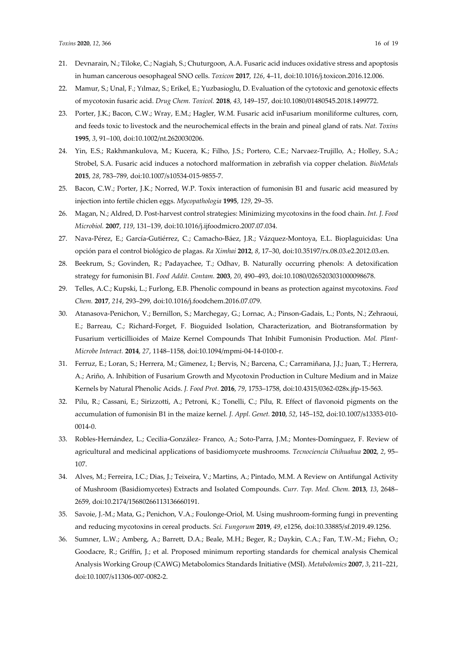- 21. Devnarain, N.; Tiloke, C.; Nagiah, S.; Chuturgoon, A.A. Fusaric acid induces oxidative stress and apoptosis in human cancerous oesophageal SNO cells. *Toxicon* **2017**, *126*, 4–11, doi:10.1016/j.toxicon.2016.12.006.
- 22. Mamur, S.; Unal, F.; Yılmaz, S.; Erikel, E.; Yuzbasioglu, D. Evaluation of the cytotoxic and genotoxic effects of mycotoxin fusaric acid. *Drug Chem. Toxicol.* **2018**, *43*, 149–157, doi:10.1080/01480545.2018.1499772.
- 23. Porter, J.K.; Bacon, C.W.; Wray, E.M.; Hagler, W.M. Fusaric acid inFusarium moniliforme cultures, corn, and feeds toxic to livestock and the neurochemical effects in the brain and pineal gland of rats. *Nat. Toxins* **1995**, *3*, 91–100, doi:10.1002/nt.2620030206.
- 24. Yin, E.S.; Rakhmankulova, M.; Kucera, K.; Filho, J.S.; Portero, C.E.; Narvaez-Trujillo, A.; Holley, S.A.; Strobel, S.A. Fusaric acid induces a notochord malformation in zebrafish via copper chelation. *BioMetals* **2015**, *28*, 783–789, doi:10.1007/s10534-015-9855-7.
- 25. Bacon, C.W.; Porter, J.K.; Norred, W.P. Toxix interaction of fumonisin B1 and fusaric acid measured by injection into fertile chiclen eggs. *Mycopathologia* **1995**, *129*, 29–35.
- 26. Magan, N.; Aldred, D. Post-harvest control strategies: Minimizing mycotoxins in the food chain. *Int. J. Food Microbiol.* **2007**, *119*, 131–139, doi:10.1016/j.ijfoodmicro.2007.07.034.
- 27. Nava-Pérez, E.; García-Gutiérrez, C.; Camacho-Báez, J.R.; Vázquez-Montoya, E.L. Bioplaguicidas: Una opción para el control biológico de plagas. *Ra Ximhai* **2012**, *8*, 17–30, doi:10.35197/rx.08.03.e2.2012.03.en.
- 28. Beekrum, S.; Govinden, R.; Padayachee, T.; Odhav, B. Naturally occurring phenols: A detoxification strategy for fumonisin B1. *Food Addit. Contam.* **2003**, *20*, 490–493, doi:10.1080/0265203031000098678.
- 29. Telles, A.C.; Kupski, L.; Furlong, E.B. Phenolic compound in beans as protection against mycotoxins. *Food Chem.* **2017**, *214*, 293–299, doi:10.1016/j.foodchem.2016.07.079.
- 30. Atanasova-Penichon, V.; Bernillon, S.; Marchegay, G.; Lornac, A.; Pinson-Gadais, L.; Ponts, N.; Zehraoui, E.; Barreau, C.; Richard-Forget, F. Bioguided Isolation, Characterization, and Biotransformation by Fusarium verticillioides of Maize Kernel Compounds That Inhibit Fumonisin Production. *Mol. Plant-Microbe Interact.* **2014**, *27*, 1148–1158, doi:10.1094/mpmi-04-14-0100-r.
- 31. Ferruz, E.; Loran, S.; Herrera, M.; Gimenez, I.; Bervis, N.; Barcena, C.; Carramiñana, J.J.; Juan, T.; Herrera, A.; Ariño, A. Inhibition of Fusarium Growth and Mycotoxin Production in Culture Medium and in Maize Kernels by Natural Phenolic Acids. *J. Food Prot.* **2016**, *79*, 1753–1758, doi:10.4315/0362-028x.jfp-15-563.
- 32. Pilu, R.; Cassani, E.; Sirizzotti, A.; Petroni, K.; Tonelli, C.; Pilu, R. Effect of flavonoid pigments on the accumulation of fumonisin B1 in the maize kernel. *J. Appl. Genet.* **2010**, *52*, 145–152, doi:10.1007/s13353-010- 0014-0.
- 33. Robles-Hernández, L.; Cecilia-González- Franco, A.; Soto-Parra, J.M.; Montes-Domínguez, F. Review of agricultural and medicinal applications of basidiomycete mushrooms. *Tecnociencia Chihuahua* **2002**, *2*, 95– 107.
- 34. Alves, M.; Ferreira, I.C.; Dias, J.; Teixeira, V.; Martins, A.; Pintado, M.M. A Review on Antifungal Activity of Mushroom (Basidiomycetes) Extracts and Isolated Compounds. *Curr. Top. Med. Chem.* **2013**, *13*, 2648– 2659, doi:10.2174/15680266113136660191.
- 35. Savoie, J.-M.; Mata, G.; Penichon, V.A.; Foulonge-Oriol, M. Using mushroom-forming fungi in preventing and reducing mycotoxins in cereal products. *Sci. Fungorum* **2019**, *49*, e1256, doi:10.33885/sf.2019.49.1256.
- 36. Sumner, L.W.; Amberg, A.; Barrett, D.A.; Beale, M.H.; Beger, R.; Daykin, C.A.; Fan, T.W.-M.; Fiehn, O.; Goodacre, R.; Griffin, J.; et al. Proposed minimum reporting standards for chemical analysis Chemical Analysis Working Group (CAWG) Metabolomics Standards Initiative (MSI). *Metabolomics* **2007**, *3*, 211–221, doi:10.1007/s11306-007-0082-2.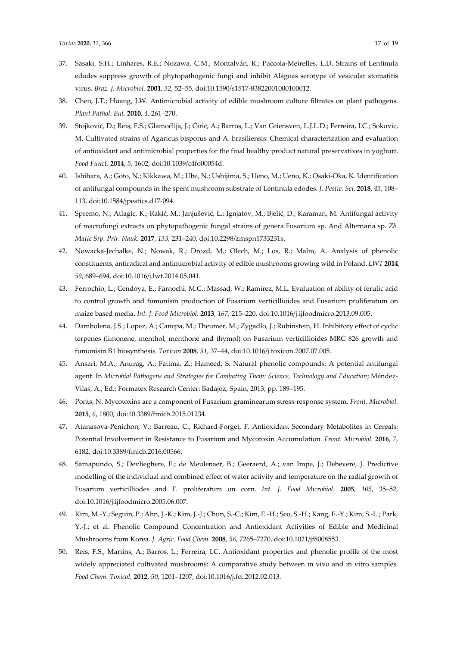- 37. Sasaki, S.H.; Linhares, R.E.; Nozawa, C.M.; Montalván, R.; Paccola-Meirelles, L.D. Strains of Lentinula edodes suppress growth of phytopathogenic fungi and inhibit Alagoas serotype of vesicular stomatitis virus. *Braz. J. Microbiol.* **2001**, *32*, 52–55, doi:10.1590/s1517-83822001000100012.
- 38. Chen, J.T.; Huang, J.W. Antimicrobial activity of edible mushroom culture filtrates on plant pathogens. *Plant Pathol. Bul.* **2010**, *4*, 261–270.
- 39. Stojković, D.; Reis, F.S.; Glamočlija, J.; Ćirić, A.; Barros, L.; Van Griensven, L.J.L.D.; Ferreira, I.C.; Sokovic, M. Cultivated strains of Agaricus bisporus and A. brasiliensis: Chemical characterization and evaluation of antioxidant and antimicrobial properties for the final healthy product natural preservatives in yoghurt. *Food Funct.* **2014**, *5*, 1602, doi:10.1039/c4fo00054d.
- 40. Ishihara, A.; Goto, N.; Kikkawa, M.; Ube, N.; Ushijima, S.; Ueno, M.; Ueno, K.; Osaki-Oka, K. Identification of antifungal compounds in the spent mushroom substrate of Lentinula edodes. *J. Pestic. Sci.* **2018**, *43*, 108– 113, doi:10.1584/jpestics.d17-094.
- 41. Spremo, N.; Atlagic, K.; Rakić, M.; Janjušević, L.; Ignjatov, M.; Bjelić, D.; Karaman, M. Antifungal activity of macrofungi extracts on phytopathogenic fungal strains of genera Fusarium sp. And Alternaria sp. *Zb. Matic Srp. Prir. Nauk.* **2017**, *133*, 231–240, doi:10.2298/zmspn1733231s.
- 42. Nowacka-Jechalke, N.; Nowak, R.; Drozd, M.; Olech, M.; Los, R.; Malm, A. Analysis of phenolic constituents, antiradical and antimicrobial activity of edible mushrooms growing wild in Poland. *LWT* **2014**, *59*, 689–694, doi:10.1016/j.lwt.2014.05.041.
- 43. Ferrochio, L.; Cendoya, E.; Farnochi, M.C.; Massad, W.; Ramirez, M.L. Evaluation of ability of ferulic acid to control growth and fumonisin production of Fusarium verticillioides and Fusarium proliferatum on maize based media. *Int. J. Food Microbiol.* **2013**, *167*, 215–220, doi:10.1016/j.ijfoodmicro.2013.09.005.
- 44. Dambolena, J.S.; Lopez, A.; Canepa, M.; Theumer, M.; Zygadlo, J.; Rubinstein, H. Inhibitory effect of cyclic terpenes (limonene, menthol, menthone and thymol) on Fusarium verticillioides MRC 826 growth and fumonisin B1 biosynthesis. *Toxicon* **2008**, *51*, 37–44, doi:10.1016/j.toxicon.2007.07.005.
- 45. Ansari, M.A.; Anurag, A.; Fatima, Z.; Hameed, S. Natural phenolic compounds: A potential antifungal agent. In *Microbial Pathogens and Strategies for Combating Them: Science, Technology and Education*; Méndez-Vilas, A., Ed.; Formatex Research Center: Badajoz, Spain, 2013; pp. 189–195.
- 46. Ponts, N. Mycotoxins are a component of Fusarium graminearum stress-response system. *Front. Microbiol.* **2015**, *6*, 1800, doi:10.3389/fmicb.2015.01234.
- 47. Atanasova-Penichon, V.; Barreau, C.; Richard-Forget, F. Antioxidant Secondary Metabolites in Cereals: Potential Involvement in Resistance to Fusarium and Mycotoxin Accumulation. *Front. Microbiol.* **2016**, *7*, 6182, doi:10.3389/fmicb.2016.00566.
- 48. Samapundo, S.; Devlieghere, F.; de Meulenaer, B.; Geeraerd, A.; van Impe, J.; Debevere, J. Predictive modelling of the individual and combined effect of water activity and temperature on the radial growth of Fusarium verticilliodes and F. proliferatum on corn. *Int. J. Food Microbiol.* **2005**, *105*, 35–52, doi:10.1016/j.ijfoodmicro.2005.06.007.
- 49. Kim, M.-Y.; Seguin, P.; Ahn, J.-K.; Kim, J.-J.; Chun, S.-C.; Kim, E.-H.; Seo, S.-H.; Kang, E.-Y.; Kim, S.-L.; Park, Y.-J.; et al. Phenolic Compound Concentration and Antioxidant Activities of Edible and Medicinal Mushrooms from Korea. *J. Agric. Food Chem.* **2008**, *56*, 7265–7270, doi:10.1021/jf8008553.
- 50. Reis, F.S.; Martins, A.; Barros, L.; Ferreira, I.C. Antioxidant properties and phenolic profile of the most widely appreciated cultivated mushrooms: A comparative study between in vivo and in vitro samples. *Food Chem. Toxicol.* **2012**, *50*, 1201–1207, doi:10.1016/j.fct.2012.02.013.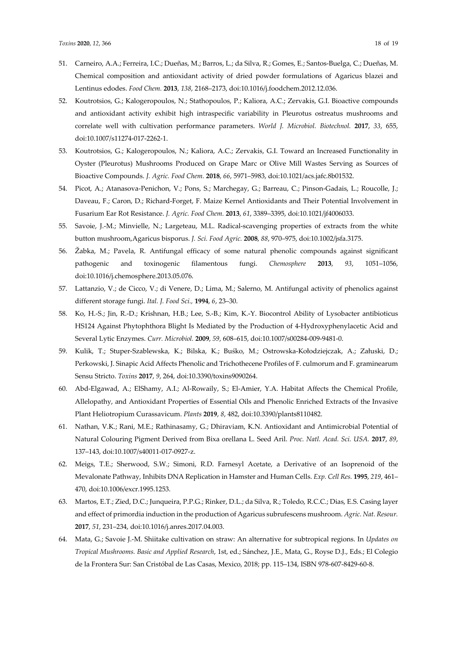- 51. Carneiro, A.A.; Ferreira, I.C.; Dueñas, M.; Barros, L.; da Silva, R.; Gomes, E.; Santos-Buelga, C.; Dueñas, M. Chemical composition and antioxidant activity of dried powder formulations of Agaricus blazei and Lentinus edodes. *Food Chem.* **2013**, *138*, 2168–2173, doi:10.1016/j.foodchem.2012.12.036.
- 52. Koutrotsios, G.; Kalogeropoulos, N.; Stathopoulos, P.; Kaliora, A.C.; Zervakis, G.I. Bioactive compounds and antioxidant activity exhibit high intraspecific variability in Pleurotus ostreatus mushrooms and correlate well with cultivation performance parameters. *World J. Microbiol. Biotechnol.* **2017**, *33*, 655, doi:10.1007/s11274-017-2262-1.
- 53. Koutrotsios, G.; Kalogeropoulos, N.; Kaliora, A.C.; Zervakis, G.I. Toward an Increased Functionality in Oyster (Pleurotus) Mushrooms Produced on Grape Marc or Olive Mill Wastes Serving as Sources of Bioactive Compounds. *J. Agric. Food Chem.* **2018**, *66*, 5971–5983, doi:10.1021/acs.jafc.8b01532.
- 54. Picot, A.; Atanasova-Penichon, V.; Pons, S.; Marchegay, G.; Barreau, C.; Pinson-Gadais, L.; Roucolle, J.; Daveau, F.; Caron, D.; Richard-Forget, F. Maize Kernel Antioxidants and Their Potential Involvement in Fusarium Ear Rot Resistance. *J. Agric. Food Chem.* **2013**, *61*, 3389–3395, doi:10.1021/jf4006033.
- 55. Savoie, J.-M.; Minvielle, N.; Largeteau, M.L. Radical-scavenging properties of extracts from the white button mushroom,Agaricus bisporus. *J. Sci. Food Agric.* **2008**, *88*, 970–975, doi:10.1002/jsfa.3175.
- 56. Žabka, M.; Pavela, R. Antifungal efficacy of some natural phenolic compounds against significant pathogenic and toxinogenic filamentous fungi. *Chemosphere* **2013**, *93*, 1051–1056, doi:10.1016/j.chemosphere.2013.05.076.
- 57. Lattanzio, V.; de Cicco, V.; di Venere, D.; Lima, M.; Salerno, M. Antifungal activity of phenolics against different storage fungi. *Ital. J. Food Sci.,* **1994**, *6*, 23–30.
- 58. Ko, H.-S.; Jin, R.-D.; Krishnan, H.B.; Lee, S.-B.; Kim, K.-Y. Biocontrol Ability of Lysobacter antibioticus HS124 Against Phytophthora Blight Is Mediated by the Production of 4-Hydroxyphenylacetic Acid and Several Lytic Enzymes. *Curr. Microbiol.* **2009**, *59*, 608–615, doi:10.1007/s00284-009-9481-0.
- 59. Kulik, T.; Stuper-Szablewska, K.; Bilska, K.; Buśko, M.; Ostrowska-Kołodziejczak, A.; Załuski, D.; Perkowski, J. Sinapic Acid Affects Phenolic and Trichothecene Profiles of F. culmorum and F. graminearum Sensu Stricto. *Toxins* **2017**, *9*, 264, doi:10.3390/toxins9090264.
- 60. Abd-Elgawad, A.; ElShamy, A.I.; Al-Rowaily, S.; El-Amier, Y.A. Habitat Affects the Chemical Profile, Allelopathy, and Antioxidant Properties of Essential Oils and Phenolic Enriched Extracts of the Invasive Plant Heliotropium Curassavicum. *Plants* **2019**, *8*, 482, doi:10.3390/plants8110482.
- 61. Nathan, V.K.; Rani, M.E.; Rathinasamy, G.; Dhiraviam, K.N. Antioxidant and Antimicrobial Potential of Natural Colouring Pigment Derived from Bixa orellana L. Seed Aril. *Proc. Natl. Acad. Sci. USA.* **2017**, *89*, 137–143, doi:10.1007/s40011-017-0927-z.
- 62. Meigs, T.E.; Sherwood, S.W.; Simoni, R.D. Farnesyl Acetate, a Derivative of an Isoprenoid of the Mevalonate Pathway, Inhibits DNA Replication in Hamster and Human Cells. *Exp. Cell Res.* **1995**, *219*, 461– 470, doi:10.1006/excr.1995.1253.
- 63. Martos, E.T.; Zied, D.C.; Junqueira, P.P.G.; Rinker, D.L.; da Silva, R.; Toledo, R.C.C.; Dias, E.S. Casing layer and effect of primordia induction in the production of Agaricus subrufescens mushroom. *Agric. Nat. Resour.* **2017**, *51*, 231–234, doi:10.1016/j.anres.2017.04.003.
- 64. Mata, G.; Savoie J.-M. Shiitake cultivation on straw: An alternative for subtropical regions. In *Updates on Tropical Mushrooms. Basic and Applied Research*, 1st, ed.; Sánchez, J.E., Mata, G., Royse D.J., Eds.; El Colegio de la Frontera Sur: San Cristóbal de Las Casas, Mexico, 2018; pp. 115–134, ISBN 978-607-8429-60-8.